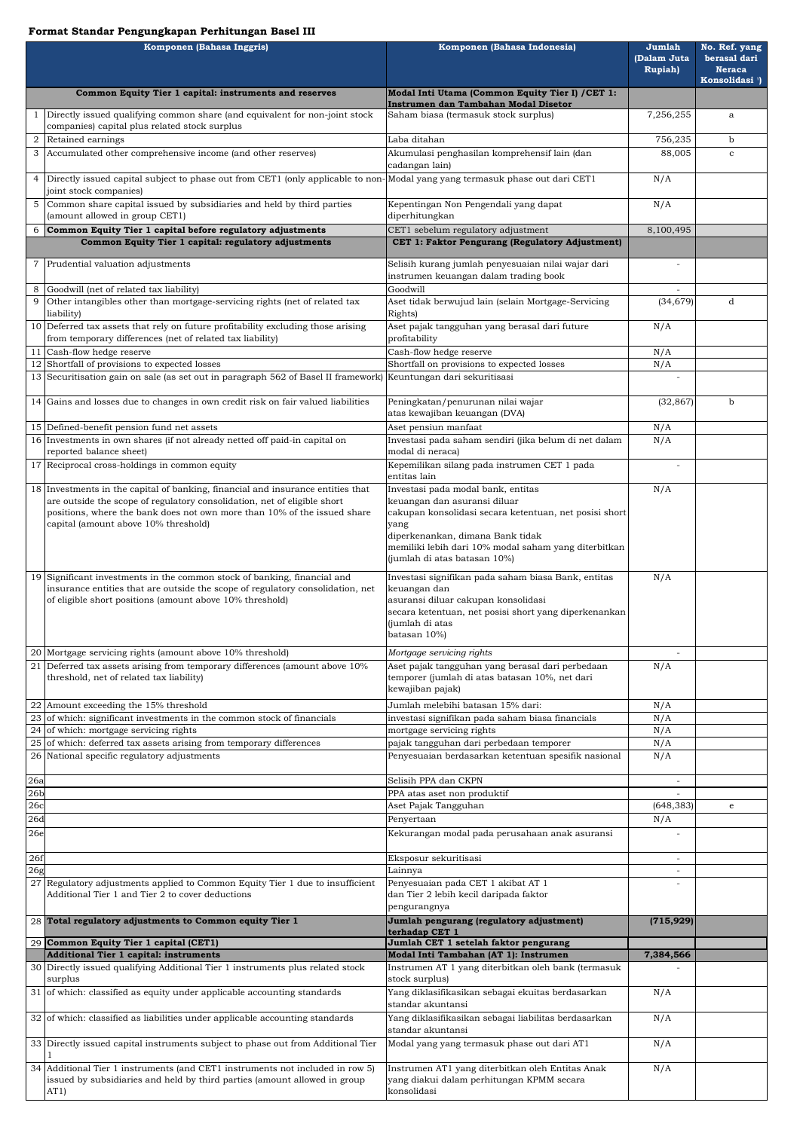## **Format Standar Pengungkapan Perhitungan Basel III**

| Komponen (Bahasa Inggris) |                                                                                                                                                                                                                                                                                 | Komponen (Bahasa Indonesia)                                                                                                                                                                                                      | Jumlah<br>(Dalam Juta<br><b>Rupiah</b> ) | No. Ref. yang<br>berasal dari<br><b>Neraca</b><br>Konsolidasi <sup>1</sup> ) |
|---------------------------|---------------------------------------------------------------------------------------------------------------------------------------------------------------------------------------------------------------------------------------------------------------------------------|----------------------------------------------------------------------------------------------------------------------------------------------------------------------------------------------------------------------------------|------------------------------------------|------------------------------------------------------------------------------|
|                           | Common Equity Tier 1 capital: instruments and reserves                                                                                                                                                                                                                          | Modal Inti Utama (Common Equity Tier I) / CET 1:                                                                                                                                                                                 |                                          |                                                                              |
|                           | Directly issued qualifying common share (and equivalent for non-joint stock<br>companies) capital plus related stock surplus                                                                                                                                                    | Instrumen dan Tambahan Modal Disetor<br>Saham biasa (termasuk stock surplus)                                                                                                                                                     | 7,256,255                                | a                                                                            |
|                           | Retained earnings                                                                                                                                                                                                                                                               | Laba ditahan                                                                                                                                                                                                                     | 756,235                                  | $\mathbf b$                                                                  |
| $\mathfrak{S}$            | Accumulated other comprehensive income (and other reserves)                                                                                                                                                                                                                     | Akumulasi penghasilan komprehensif lain (dan<br>cadangan lain)                                                                                                                                                                   | 88,005                                   | C                                                                            |
| 4                         | Directly issued capital subject to phase out from CET1 (only applicable to non-Modal yang yang termasuk phase out dari CET1<br>joint stock companies)                                                                                                                           |                                                                                                                                                                                                                                  | N/A                                      |                                                                              |
| 5                         | Common share capital issued by subsidiaries and held by third parties<br>(amount allowed in group CET1)                                                                                                                                                                         | Kepentingan Non Pengendali yang dapat<br>diperhitungkan                                                                                                                                                                          | N/A                                      |                                                                              |
| 6                         | Common Equity Tier 1 capital before regulatory adjustments                                                                                                                                                                                                                      | CET1 sebelum regulatory adjustment                                                                                                                                                                                               | 8,100,495                                |                                                                              |
|                           | Common Equity Tier 1 capital: regulatory adjustments                                                                                                                                                                                                                            | CET 1: Faktor Pengurang (Regulatory Adjustment)                                                                                                                                                                                  |                                          |                                                                              |
|                           | Prudential valuation adjustments                                                                                                                                                                                                                                                | Selisih kurang jumlah penyesuaian nilai wajar dari<br>instrumen keuangan dalam trading book                                                                                                                                      |                                          |                                                                              |
|                           | Goodwill (net of related tax liability)                                                                                                                                                                                                                                         | Goodwill                                                                                                                                                                                                                         |                                          |                                                                              |
| 9                         | Other intangibles other than mortgage-servicing rights (net of related tax<br>liability)                                                                                                                                                                                        | Aset tidak berwujud lain (selain Mortgage-Servicing<br>Rights)                                                                                                                                                                   | (34, 679)                                | d                                                                            |
|                           | 10 Deferred tax assets that rely on future profitability excluding those arising<br>from temporary differences (net of related tax liability)                                                                                                                                   | Aset pajak tangguhan yang berasal dari future<br>profitability                                                                                                                                                                   | N/A                                      |                                                                              |
|                           | Cash-flow hedge reserve<br>12 Shortfall of provisions to expected losses                                                                                                                                                                                                        | Cash-flow hedge reserve<br>Shortfall on provisions to expected losses                                                                                                                                                            | N/A<br>N/A                               |                                                                              |
|                           | 13 Securitisation gain on sale (as set out in paragraph 562 of Basel II framework) Keuntungan dari sekuritisasi                                                                                                                                                                 |                                                                                                                                                                                                                                  |                                          |                                                                              |
|                           | 14 Gains and losses due to changes in own credit risk on fair valued liabilities                                                                                                                                                                                                | Peningkatan/penurunan nilai wajar<br>atas kewajiban keuangan (DVA)                                                                                                                                                               | (32, 867)                                | $\mathbf b$                                                                  |
|                           | 15 Defined-benefit pension fund net assets                                                                                                                                                                                                                                      | Aset pensiun manfaat                                                                                                                                                                                                             | N/A                                      |                                                                              |
|                           | 16 Investments in own shares (if not already netted off paid-in capital on<br>reported balance sheet)                                                                                                                                                                           | Investasi pada saham sendiri (jika belum di net dalam<br>modal di neraca)<br>Kepemilikan silang pada instrumen CET 1 pada                                                                                                        | N/A                                      |                                                                              |
|                           | 17 Reciprocal cross-holdings in common equity                                                                                                                                                                                                                                   | entitas lain                                                                                                                                                                                                                     |                                          |                                                                              |
|                           | 18 Investments in the capital of banking, financial and insurance entities that<br>are outside the scope of regulatory consolidation, net of eligible short<br>positions, where the bank does not own more than 10% of the issued share<br>capital (amount above 10% threshold) | Investasi pada modal bank, entitas<br>keuangan dan asuransi diluar<br>cakupan konsolidasi secara ketentuan, net posisi short<br>yang<br>diperkenankan, dimana Bank tidak<br>memiliki lebih dari 10% modal saham yang diterbitkan | N/A                                      |                                                                              |
|                           | 19 Significant investments in the common stock of banking, financial and<br>insurance entities that are outside the scope of regulatory consolidation, net                                                                                                                      | (jumlah di atas batasan 10%)<br>Investasi signifikan pada saham biasa Bank, entitas<br>keuangan dan                                                                                                                              | N/A                                      |                                                                              |
|                           | of eligible short positions (amount above 10% threshold)                                                                                                                                                                                                                        | asuransi diluar cakupan konsolidasi<br>secara ketentuan, net posisi short yang diperkenankan<br>(jumlah di atas<br>batasan 10%)                                                                                                  |                                          |                                                                              |
|                           | 20 Mortgage servicing rights (amount above 10% threshold)                                                                                                                                                                                                                       | Mortgage servicing rights                                                                                                                                                                                                        |                                          |                                                                              |
| 21                        | Deferred tax assets arising from temporary differences (amount above 10%)<br>threshold, net of related tax liability)                                                                                                                                                           | Aset pajak tangguhan yang berasal dari perbedaan<br>temporer (jumlah di atas batasan 10%, net dari<br>kewajiban pajak)                                                                                                           | N/A                                      |                                                                              |
|                           | 22 Amount exceeding the 15% threshold                                                                                                                                                                                                                                           | Jumlah melebihi batasan 15% dari:                                                                                                                                                                                                | N/A                                      |                                                                              |
|                           | 23 of which: significant investments in the common stock of financials<br>24 of which: mortgage servicing rights                                                                                                                                                                | investasi signifikan pada saham biasa financials<br>mortgage servicing rights                                                                                                                                                    | N/A<br>N/A                               |                                                                              |
|                           | $25$ of which: deferred tax assets arising from temporary differences                                                                                                                                                                                                           | pajak tangguhan dari perbedaan temporer                                                                                                                                                                                          | N/A                                      |                                                                              |
|                           | 26 National specific regulatory adjustments                                                                                                                                                                                                                                     | Penyesuaian berdasarkan ketentuan spesifik nasional                                                                                                                                                                              | N/A                                      |                                                                              |
| 26a                       |                                                                                                                                                                                                                                                                                 | Selisih PPA dan CKPN                                                                                                                                                                                                             |                                          |                                                                              |
| 26 <sub>b</sub><br>26c    |                                                                                                                                                                                                                                                                                 | PPA atas aset non produktif<br>Aset Pajak Tangguhan                                                                                                                                                                              | (648, 383)                               | e                                                                            |
| 26d                       |                                                                                                                                                                                                                                                                                 | Penyertaan                                                                                                                                                                                                                       | N/A                                      |                                                                              |
| 26e                       |                                                                                                                                                                                                                                                                                 | Kekurangan modal pada perusahaan anak asuransi                                                                                                                                                                                   |                                          |                                                                              |
| 26f                       |                                                                                                                                                                                                                                                                                 | Eksposur sekuritisasi                                                                                                                                                                                                            |                                          |                                                                              |
| 26 <sub>g</sub>           | Regulatory adjustments applied to Common Equity Tier 1 due to insufficient<br>Additional Tier 1 and Tier 2 to cover deductions                                                                                                                                                  | Lainnya<br>Penyesuaian pada CET 1 akibat AT 1<br>dan Tier 2 lebih kecil daripada faktor                                                                                                                                          | $\overline{\phantom{a}}$                 |                                                                              |
|                           | 28 Total regulatory adjustments to Common equity Tier 1                                                                                                                                                                                                                         | pengurangnya<br>Jumlah pengurang (regulatory adjustment)                                                                                                                                                                         | (715, 929)                               |                                                                              |
|                           | 29 Common Equity Tier 1 capital (CET1)                                                                                                                                                                                                                                          | terhadap CET 1<br>Jumlah CET 1 setelah faktor pengurang                                                                                                                                                                          |                                          |                                                                              |
|                           | <b>Additional Tier 1 capital: instruments</b>                                                                                                                                                                                                                                   | Modal Inti Tambahan (AT 1): Instrumen                                                                                                                                                                                            | 7,384,566                                |                                                                              |
|                           | 30 Directly issued qualifying Additional Tier 1 instruments plus related stock<br>surplus                                                                                                                                                                                       | Instrumen AT 1 yang diterbitkan oleh bank (termasuk<br>stock surplus)                                                                                                                                                            |                                          |                                                                              |
|                           | 31 of which: classified as equity under applicable accounting standards                                                                                                                                                                                                         | Yang diklasifikasikan sebagai ekuitas berdasarkan<br>standar akuntansi                                                                                                                                                           | N/A                                      |                                                                              |
|                           | 32 of which: classified as liabilities under applicable accounting standards                                                                                                                                                                                                    | Yang diklasifikasikan sebagai liabilitas berdasarkan<br>standar akuntansi                                                                                                                                                        | N/A                                      |                                                                              |
|                           | 33 Directly issued capital instruments subject to phase out from Additional Tier                                                                                                                                                                                                | Modal yang yang termasuk phase out dari AT1                                                                                                                                                                                      | N/A                                      |                                                                              |
|                           | 34 Additional Tier 1 instruments (and CET1 instruments not included in row 5)<br>issued by subsidiaries and held by third parties (amount allowed in group<br>AT1)                                                                                                              | Instrumen AT1 yang diterbitkan oleh Entitas Anak<br>yang diakui dalam perhitungan KPMM secara<br>konsolidasi                                                                                                                     | N/A                                      |                                                                              |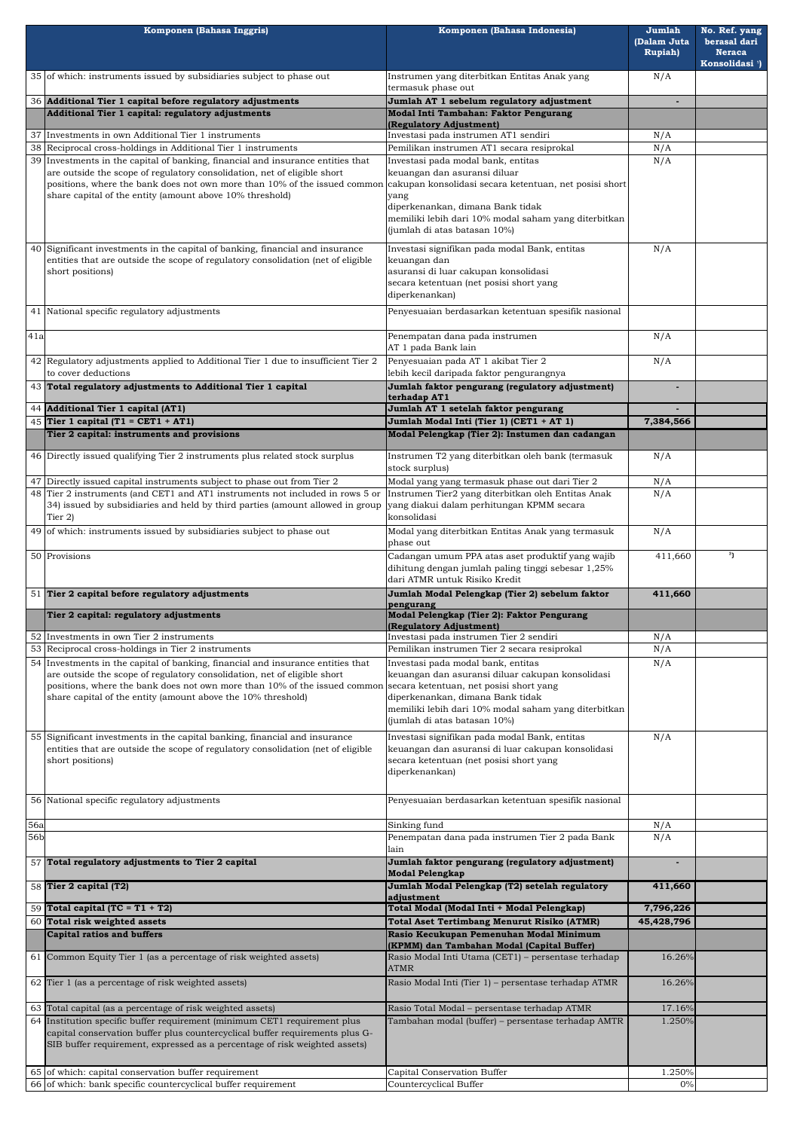|             | Komponen (Bahasa Inggris)                                                                                                                                                                                                                                                                                | Komponen (Bahasa Indonesia)                                                                                                                                                                                                                                      | Jumlah<br>(Dalam Juta<br><b>Rupiah</b> ) | No. Ref. yang<br>berasal dari<br><b>Neraca</b><br>Konsolidasi <sup>1</sup> |
|-------------|----------------------------------------------------------------------------------------------------------------------------------------------------------------------------------------------------------------------------------------------------------------------------------------------------------|------------------------------------------------------------------------------------------------------------------------------------------------------------------------------------------------------------------------------------------------------------------|------------------------------------------|----------------------------------------------------------------------------|
|             | 35 of which: instruments issued by subsidiaries subject to phase out                                                                                                                                                                                                                                     | Instrumen yang diterbitkan Entitas Anak yang<br>termasuk phase out                                                                                                                                                                                               | N/A                                      |                                                                            |
|             | 36 Additional Tier 1 capital before regulatory adjustments                                                                                                                                                                                                                                               | Jumlah AT 1 sebelum regulatory adjustment                                                                                                                                                                                                                        |                                          |                                                                            |
|             | Additional Tier 1 capital: regulatory adjustments                                                                                                                                                                                                                                                        | Modal Inti Tambahan: Faktor Pengurang<br>(Regulatory Adjustment)                                                                                                                                                                                                 |                                          |                                                                            |
|             | 37 Investments in own Additional Tier 1 instruments                                                                                                                                                                                                                                                      | Investasi pada instrumen AT1 sendiri                                                                                                                                                                                                                             | N/A                                      |                                                                            |
|             | 38 Reciprocal cross-holdings in Additional Tier 1 instruments                                                                                                                                                                                                                                            | Pemilikan instrumen AT1 secara resiprokal                                                                                                                                                                                                                        | N/A                                      |                                                                            |
|             | 39 Investments in the capital of banking, financial and insurance entities that<br>are outside the scope of regulatory consolidation, net of eligible short<br>positions, where the bank does not own more than 10% of the issued common<br>share capital of the entity (amount above 10% threshold)     | Investasi pada modal bank, entitas<br>keuangan dan asuransi diluar<br>cakupan konsolidasi secara ketentuan, net posisi short<br>yang<br>diperkenankan, dimana Bank tidak<br>memiliki lebih dari 10% modal saham yang diterbitkan<br>(jumlah di atas batasan 10%) |                                          |                                                                            |
|             | 40 Significant investments in the capital of banking, financial and insurance<br>entities that are outside the scope of regulatory consolidation (net of eligible<br>short positions)                                                                                                                    | Investasi signifikan pada modal Bank, entitas<br>keuangan dan<br>asuransi di luar cakupan konsolidasi<br>secara ketentuan (net posisi short yang<br>diperkenankan)                                                                                               | N/A                                      |                                                                            |
|             | 41 National specific regulatory adjustments                                                                                                                                                                                                                                                              | Penyesuaian berdasarkan ketentuan spesifik nasional                                                                                                                                                                                                              |                                          |                                                                            |
| 41a         |                                                                                                                                                                                                                                                                                                          | Penempatan dana pada instrumen<br>AT 1 pada Bank lain                                                                                                                                                                                                            | N/A                                      |                                                                            |
|             | 42 Regulatory adjustments applied to Additional Tier 1 due to insufficient Tier 2<br>to cover deductions<br>43 Total regulatory adjustments to Additional Tier 1 capital                                                                                                                                 | Penyesuaian pada AT 1 akibat Tier 2<br>lebih kecil daripada faktor pengurangnya<br>Jumlah faktor pengurang (regulatory adjustment)                                                                                                                               | N/A                                      |                                                                            |
|             | 44 Additional Tier 1 capital (AT1)                                                                                                                                                                                                                                                                       | terhadap AT1<br>Jumlah AT 1 setelah faktor pengurang                                                                                                                                                                                                             |                                          |                                                                            |
|             | 45 Tier 1 capital (T1 = CET1 + AT1)                                                                                                                                                                                                                                                                      | Jumlah Modal Inti (Tier 1) (CET1 + AT 1)                                                                                                                                                                                                                         | 7,384,566                                |                                                                            |
|             | Tier 2 capital: instruments and provisions                                                                                                                                                                                                                                                               | Modal Pelengkap (Tier 2): Instumen dan cadangan                                                                                                                                                                                                                  |                                          |                                                                            |
|             | 46 Directly issued qualifying Tier 2 instruments plus related stock surplus                                                                                                                                                                                                                              | Instrumen T2 yang diterbitkan oleh bank (termasuk<br>stock surplus)                                                                                                                                                                                              | N/A                                      |                                                                            |
|             | 47 Directly issued capital instruments subject to phase out from Tier 2                                                                                                                                                                                                                                  | Modal yang yang termasuk phase out dari Tier 2                                                                                                                                                                                                                   | N/A                                      |                                                                            |
|             | 48 Tier 2 instruments (and CET1 and AT1 instruments not included in rows 5 or<br>34) issued by subsidiaries and held by third parties (amount allowed in group<br>Tier $2)$                                                                                                                              | Instrumen Tier2 yang diterbitkan oleh Entitas Anak<br>yang diakui dalam perhitungan KPMM secara<br>konsolidasi                                                                                                                                                   | N/A                                      |                                                                            |
|             | 49 of which: instruments issued by subsidiaries subject to phase out                                                                                                                                                                                                                                     | Modal yang diterbitkan Entitas Anak yang termasuk<br>phase out                                                                                                                                                                                                   | N/A                                      |                                                                            |
|             | 50 Provisions                                                                                                                                                                                                                                                                                            | Cadangan umum PPA atas aset produktif yang wajib<br>dihitung dengan jumlah paling tinggi sebesar 1,25%<br>dari ATMR untuk Risiko Kredit                                                                                                                          | 411,660                                  | <sup>3</sup> ]                                                             |
|             | 51 Tier 2 capital before regulatory adjustments                                                                                                                                                                                                                                                          | Jumlah Modal Pelengkap (Tier 2) sebelum faktor                                                                                                                                                                                                                   | 411,660                                  |                                                                            |
|             | Tier 2 capital: regulatory adjustments                                                                                                                                                                                                                                                                   | pengurang<br>Modal Pelengkap (Tier 2): Faktor Pengurang                                                                                                                                                                                                          |                                          |                                                                            |
|             | 52 Investments in own Tier 2 instruments                                                                                                                                                                                                                                                                 | (Regulatory Adjustment)<br>Investasi pada instrumen Tier 2 sendiri                                                                                                                                                                                               | N/A                                      |                                                                            |
|             | 53 Reciprocal cross-holdings in Tier 2 instruments                                                                                                                                                                                                                                                       | Pemilikan instrumen Tier 2 secara resiprokal                                                                                                                                                                                                                     | N/A                                      |                                                                            |
|             | 54 Investments in the capital of banking, financial and insurance entities that<br>are outside the scope of regulatory consolidation, net of eligible short<br>positions, where the bank does not own more than 10% of the issued common<br>share capital of the entity (amount above the 10% threshold) | Investasi pada modal bank, entitas<br>keuangan dan asuransi diluar cakupan konsolidasi<br>secara ketentuan, net posisi short yang<br>diperkenankan, dimana Bank tidak<br>memiliki lebih dari 10% modal saham yang diterbitkan<br>(jumlah di atas batasan 10%)    | N/A                                      |                                                                            |
|             | 55 Significant investments in the capital banking, financial and insurance<br>entities that are outside the scope of regulatory consolidation (net of eligible<br>short positions)                                                                                                                       | Investasi signifikan pada modal Bank, entitas<br>keuangan dan asuransi di luar cakupan konsolidasi<br>secara ketentuan (net posisi short yang<br>diperkenankan)                                                                                                  | N/A                                      |                                                                            |
|             | 56 National specific regulatory adjustments                                                                                                                                                                                                                                                              | Penyesuaian berdasarkan ketentuan spesifik nasional                                                                                                                                                                                                              |                                          |                                                                            |
| 56a         |                                                                                                                                                                                                                                                                                                          | Sinking fund                                                                                                                                                                                                                                                     | N/A                                      |                                                                            |
| 56 <b>b</b> |                                                                                                                                                                                                                                                                                                          | Penempatan dana pada instrumen Tier 2 pada Bank<br>lain                                                                                                                                                                                                          | N/A                                      |                                                                            |
|             | 57 Total regulatory adjustments to Tier 2 capital                                                                                                                                                                                                                                                        | Jumlah faktor pengurang (regulatory adjustment)<br><b>Modal Pelengkap</b>                                                                                                                                                                                        |                                          |                                                                            |
|             | 58 Tier 2 capital (T2)                                                                                                                                                                                                                                                                                   | Jumlah Modal Pelengkap (T2) setelah regulatory<br>adjustment                                                                                                                                                                                                     | 411,660                                  |                                                                            |
|             | 59 Total capital (TC = $T1 + T2$ )                                                                                                                                                                                                                                                                       | Total Modal (Modal Inti + Modal Pelengkap)                                                                                                                                                                                                                       | 7,796,226                                |                                                                            |
|             | 60 Total risk weighted assets                                                                                                                                                                                                                                                                            | <b>Total Aset Tertimbang Menurut Risiko (ATMR)</b>                                                                                                                                                                                                               | 45,428,796                               |                                                                            |
|             | <b>Capital ratios and buffers</b><br>61 Common Equity Tier 1 (as a percentage of risk weighted assets)                                                                                                                                                                                                   | Rasio Kecukupan Pemenuhan Modal Minimum<br>(KPMM) dan Tambahan Modal (Capital Buffer)<br>Rasio Modal Inti Utama (CET1) - persentase terhadap                                                                                                                     | 16.26%                                   |                                                                            |
|             |                                                                                                                                                                                                                                                                                                          | <b>ATMR</b>                                                                                                                                                                                                                                                      |                                          |                                                                            |
|             | 62 Tier 1 (as a percentage of risk weighted assets)                                                                                                                                                                                                                                                      | Rasio Modal Inti (Tier 1) - persentase terhadap ATMR                                                                                                                                                                                                             | 16.26%                                   |                                                                            |
|             | 63 Total capital (as a percentage of risk weighted assets)<br>64 Institution specific buffer requirement (minimum CET1 requirement plus                                                                                                                                                                  | Rasio Total Modal - persentase terhadap ATMR<br>Tambahan modal (buffer) – persentase terhadap AMTR                                                                                                                                                               | 17.16%<br>1.250%                         |                                                                            |
|             | capital conservation buffer plus countercyclical buffer requirements plus G-<br>SIB buffer requirement, expressed as a percentage of risk weighted assets)                                                                                                                                               |                                                                                                                                                                                                                                                                  |                                          |                                                                            |
|             | 65 of which: capital conservation buffer requirement<br>66 of which: bank specific countercyclical buffer requirement                                                                                                                                                                                    | Capital Conservation Buffer<br>Countercyclical Buffer                                                                                                                                                                                                            | 1.250%<br>0%                             |                                                                            |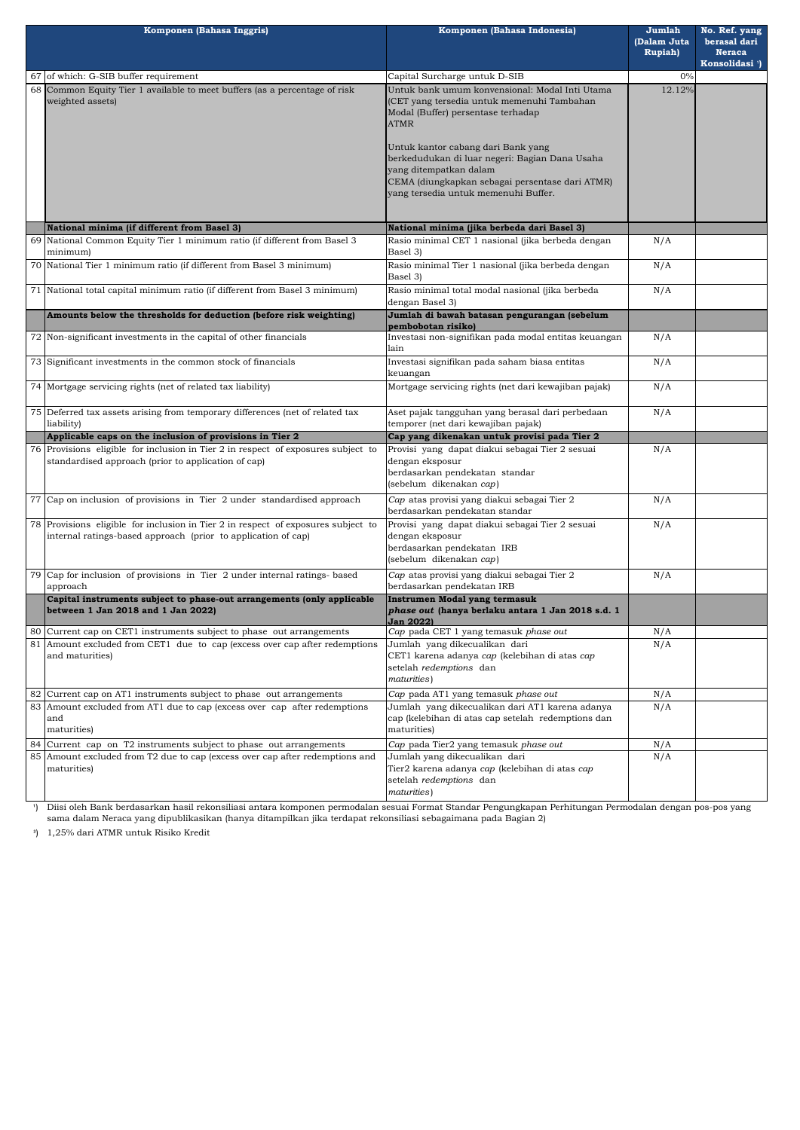| Komponen (Bahasa Inggris) |                                                                                                                                                    | Komponen (Bahasa Indonesia)                                                                                                                                                                               | Jumlah<br>(Dalam Juta<br><b>Rupiah</b> ) | No. Ref. yang<br>berasal dari<br><b>Neraca</b><br>Konsolidasi <sup>1</sup> ) |
|---------------------------|----------------------------------------------------------------------------------------------------------------------------------------------------|-----------------------------------------------------------------------------------------------------------------------------------------------------------------------------------------------------------|------------------------------------------|------------------------------------------------------------------------------|
|                           | $67$ of which: G-SIB buffer requirement                                                                                                            | Capital Surcharge untuk D-SIB                                                                                                                                                                             | 0%<br>12.12%                             |                                                                              |
|                           | 68 Common Equity Tier 1 available to meet buffers (as a percentage of risk<br>weighted assets)                                                     | Untuk bank umum konvensional: Modal Inti Utama<br>(CET yang tersedia untuk memenuhi Tambahan<br>Modal (Buffer) persentase terhadap<br><b>ATMR</b>                                                         |                                          |                                                                              |
|                           |                                                                                                                                                    | Untuk kantor cabang dari Bank yang<br>berkedudukan di luar negeri: Bagian Dana Usaha<br>yang ditempatkan dalam<br>CEMA (diungkapkan sebagai persentase dari ATMR)<br>yang tersedia untuk memenuhi Buffer. |                                          |                                                                              |
|                           | National minima (if different from Basel 3)                                                                                                        | National minima (jika berbeda dari Basel 3)                                                                                                                                                               |                                          |                                                                              |
|                           | 69 National Common Equity Tier 1 minimum ratio (if different from Basel 3<br>minimum)                                                              | Rasio minimal CET 1 nasional (jika berbeda dengan<br>Basel 3)                                                                                                                                             | N/A                                      |                                                                              |
|                           | 70 National Tier 1 minimum ratio (if different from Basel 3 minimum)                                                                               | Rasio minimal Tier 1 nasional (jika berbeda dengan<br>Basel 3)                                                                                                                                            | N/A                                      |                                                                              |
|                           | 71 National total capital minimum ratio (if different from Basel 3 minimum)                                                                        | Rasio minimal total modal nasional (jika berbeda<br>dengan Basel 3)                                                                                                                                       | N/A                                      |                                                                              |
|                           | Amounts below the thresholds for deduction (before risk weighting)                                                                                 | Jumlah di bawah batasan pengurangan (sebelum<br>pembobotan risiko)                                                                                                                                        | N/A                                      |                                                                              |
|                           | 72 Non-significant investments in the capital of other financials                                                                                  | Investasi non-signifikan pada modal entitas keuangan<br>lain                                                                                                                                              |                                          |                                                                              |
|                           | 73 Significant investments in the common stock of financials                                                                                       | Investasi signifikan pada saham biasa entitas<br>keuangan                                                                                                                                                 | N/A                                      |                                                                              |
|                           | 74 Mortgage servicing rights (net of related tax liability)                                                                                        | Mortgage servicing rights (net dari kewajiban pajak)                                                                                                                                                      | N/A                                      |                                                                              |
|                           | 75 Deferred tax assets arising from temporary differences (net of related tax<br>liability)                                                        | Aset pajak tangguhan yang berasal dari perbedaan<br>temporer (net dari kewajiban pajak)                                                                                                                   | N/A                                      |                                                                              |
|                           | Applicable caps on the inclusion of provisions in Tier 2                                                                                           | Cap yang dikenakan untuk provisi pada Tier 2                                                                                                                                                              |                                          |                                                                              |
|                           | 76 Provisions eligible for inclusion in Tier 2 in respect of exposures subject to<br>standardised approach (prior to application of cap)           | Provisi yang dapat diakui sebagai Tier 2 sesuai<br>dengan eksposur<br>berdasarkan pendekatan standar<br>(sebelum dikenakan cap)                                                                           | N/A                                      |                                                                              |
|                           | 77 Cap on inclusion of provisions in Tier 2 under standardised approach                                                                            | Cap atas provisi yang diakui sebagai Tier 2<br>berdasarkan pendekatan standar                                                                                                                             | N/A                                      |                                                                              |
|                           | 78 Provisions eligible for inclusion in Tier 2 in respect of exposures subject to<br>internal ratings-based approach (prior to application of cap) | Provisi yang dapat diakui sebagai Tier 2 sesuai<br>dengan eksposur<br>berdasarkan pendekatan IRB<br>(sebelum dikenakan cap)                                                                               | N/A                                      |                                                                              |
|                           | 79 Cap for inclusion of provisions in Tier 2 under internal ratings- based<br>approach                                                             | Cap atas provisi yang diakui sebagai Tier 2<br>berdasarkan pendekatan IRB                                                                                                                                 | N/A                                      |                                                                              |
|                           | Capital instruments subject to phase-out arrangements (only applicable<br>between 1 Jan 2018 and 1 Jan 2022)                                       | <b>Instrumen Modal yang termasuk</b><br>phase out (hanya berlaku antara 1 Jan 2018 s.d. 1<br><b>Jan 2022)</b>                                                                                             |                                          |                                                                              |
|                           | 80 Current cap on CET1 instruments subject to phase out arrangements                                                                               | Cap pada CET 1 yang temasuk phase out                                                                                                                                                                     | N/A                                      |                                                                              |
|                           | 81 Amount excluded from CET1 due to cap (excess over cap after redemptions<br>and maturities)                                                      | Jumlah yang dikecualikan dari<br>CET1 karena adanya cap (kelebihan di atas cap<br>setelah redemptions dan<br>maturities)                                                                                  | N/A                                      |                                                                              |
|                           | 82 Current cap on AT1 instruments subject to phase out arrangements                                                                                | Cap pada AT1 yang temasuk phase out                                                                                                                                                                       | N/A                                      |                                                                              |
|                           | 83 Amount excluded from AT1 due to cap (excess over cap after redemptions<br>and<br>maturities)                                                    | Jumlah yang dikecualikan dari AT1 karena adanya<br>cap (kelebihan di atas cap setelah redemptions dan<br>maturities)                                                                                      | N/A                                      |                                                                              |
|                           | 84 Current cap on T2 instruments subject to phase out arrangements                                                                                 | Cap pada Tier2 yang temasuk phase out                                                                                                                                                                     | N/A                                      |                                                                              |
|                           | 85 Amount excluded from T2 due to cap (excess over cap after redemptions and<br>maturities)                                                        | Jumlah yang dikecualikan dari<br>Tier2 karena adanya cap (kelebihan di atas cap<br>setelah redemptions dan<br>maturities)                                                                                 | N/A                                      |                                                                              |

') Diisi oleh Bank berdasarkan hasil rekonsiliasi antara komponen permodalan sesuai Format Standar Pengungkapan Perhitungan Permodalan dengan pos-pos yang sama dalam Neraca yang dipublikasikan (hanya ditampilkan jika terdapat rekonsiliasi sebagaimana pada Bagian 2)

**³**) 1,25% dari ATMR untuk Risiko Kredit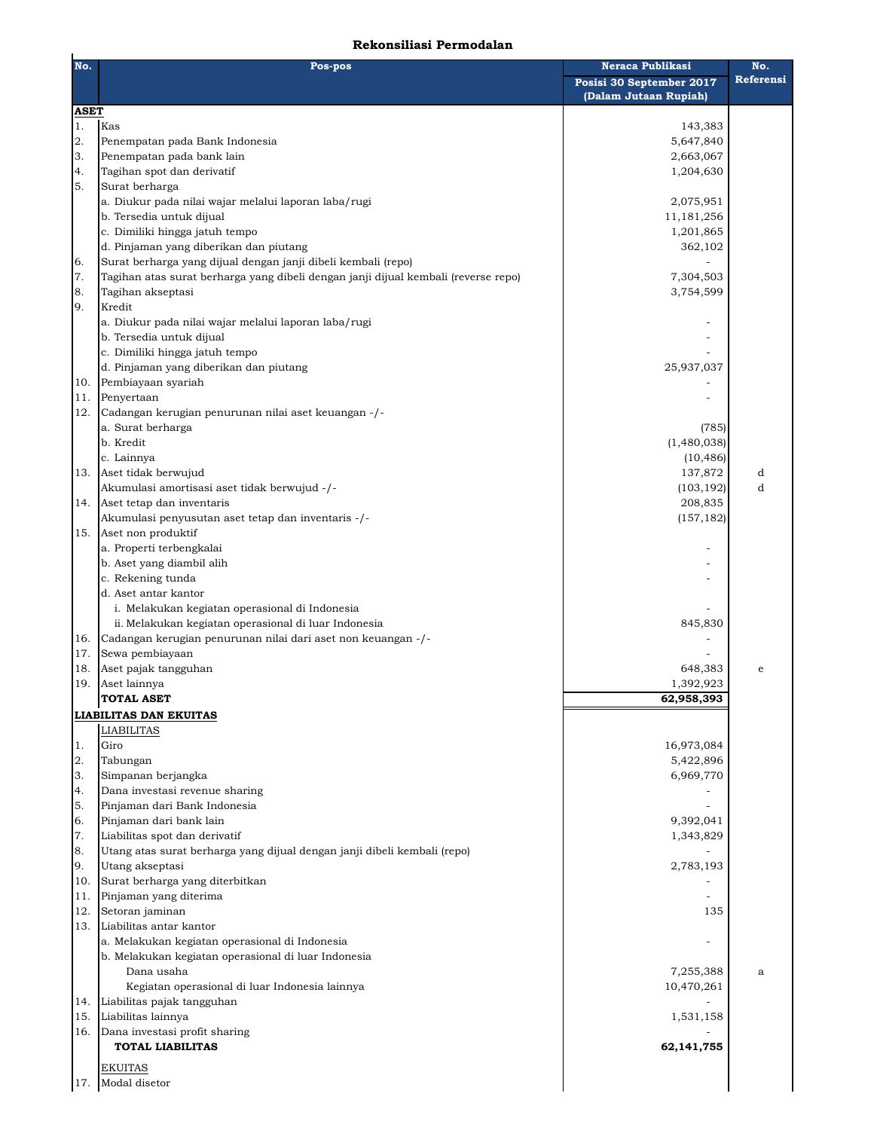## **Rekonsiliasi Permodalan**

| No.         | Pos-pos                                                                            | <b>Neraca Publikasi</b>                           | No.       |
|-------------|------------------------------------------------------------------------------------|---------------------------------------------------|-----------|
|             |                                                                                    | Posisi 30 September 2017<br>(Dalam Jutaan Rupiah) | Referensi |
| <b>ASET</b> |                                                                                    |                                                   |           |
| 1.          | Kas                                                                                | 143,383                                           |           |
| 2.          | Penempatan pada Bank Indonesia                                                     | 5,647,840                                         |           |
| 3.          | Penempatan pada bank lain                                                          | 2,663,067                                         |           |
| 4.          | Tagihan spot dan derivatif                                                         | 1,204,630                                         |           |
| 5.          | Surat berharga                                                                     |                                                   |           |
|             | a. Diukur pada nilai wajar melalui laporan laba/rugi                               | 2,075,951                                         |           |
|             | b. Tersedia untuk dijual                                                           | 11,181,256                                        |           |
|             | c. Dimiliki hingga jatuh tempo                                                     | 1,201,865                                         |           |
|             | d. Pinjaman yang diberikan dan piutang                                             | 362,102                                           |           |
| 6.          | Surat berharga yang dijual dengan janji dibeli kembali (repo)                      |                                                   |           |
| $\bf 7.$    | Tagihan atas surat berharga yang dibeli dengan janji dijual kembali (reverse repo) | 7,304,503                                         |           |
| 8.          | Tagihan akseptasi                                                                  | 3,754,599                                         |           |
| 9.          | Kredit                                                                             |                                                   |           |
|             | a. Diukur pada nilai wajar melalui laporan laba/rugi                               |                                                   |           |
|             | b. Tersedia untuk dijual                                                           |                                                   |           |
|             | c. Dimiliki hingga jatuh tempo                                                     |                                                   |           |
|             | d. Pinjaman yang diberikan dan piutang<br>Pembiayaan syariah                       | 25,937,037                                        |           |
| 10.         | Penyertaan                                                                         |                                                   |           |
| 11.         |                                                                                    |                                                   |           |
| 12.         | Cadangan kerugian penurunan nilai aset keuangan -/-<br>a. Surat berharga           |                                                   |           |
|             | b. Kredit                                                                          | (785)<br>(1,480,038)                              |           |
|             |                                                                                    | (10, 486)                                         |           |
| 13.         | c. Lainnya<br>Aset tidak berwujud                                                  | 137,872                                           | d         |
|             | Akumulasi amortisasi aset tidak berwujud -/-                                       | (103, 192)                                        | d         |
| 14.         | Aset tetap dan inventaris                                                          | 208,835                                           |           |
|             | Akumulasi penyusutan aset tetap dan inventaris -/-                                 | (157, 182)                                        |           |
| 15.         | Aset non produktif                                                                 |                                                   |           |
|             | a. Properti terbengkalai                                                           |                                                   |           |
|             | b. Aset yang diambil alih                                                          |                                                   |           |
|             | c. Rekening tunda                                                                  |                                                   |           |
|             | d. Aset antar kantor                                                               |                                                   |           |
|             | i. Melakukan kegiatan operasional di Indonesia                                     |                                                   |           |
|             | ii. Melakukan kegiatan operasional di luar Indonesia                               | 845,830                                           |           |
| 16.         | Cadangan kerugian penurunan nilai dari aset non keuangan -/-                       |                                                   |           |
| 17.         | Sewa pembiayaan                                                                    |                                                   |           |
| 18.         | Aset pajak tangguhan                                                               | 648,383                                           | e         |
| 19.         | Aset lainnya                                                                       | 1,392,923                                         |           |
|             | <b>TOTAL ASET</b>                                                                  | 62,958,393                                        |           |
|             | <b>LIABILITAS DAN EKUITAS</b>                                                      |                                                   |           |
|             | <b>LIABILITAS</b>                                                                  |                                                   |           |
| 1.          | Giro                                                                               | 16,973,084                                        |           |
| 2.          | Tabungan                                                                           | 5,422,896                                         |           |
| 3.          | Simpanan berjangka                                                                 | 6,969,770                                         |           |
| 4.          | Dana investasi revenue sharing                                                     |                                                   |           |
| 5.          | Pinjaman dari Bank Indonesia                                                       |                                                   |           |
| 6.          | Pinjaman dari bank lain                                                            | 9,392,041                                         |           |
| 7.          | Liabilitas spot dan derivatif                                                      | 1,343,829                                         |           |
| 8.          | Utang atas surat berharga yang dijual dengan janji dibeli kembali (repo)           |                                                   |           |
| 9.          | Utang akseptasi                                                                    | 2,783,193                                         |           |
| 10.         | Surat berharga yang diterbitkan                                                    |                                                   |           |
| 11.         | Pinjaman yang diterima                                                             |                                                   |           |
| 12.         | Setoran jaminan                                                                    | 135                                               |           |
| 13.         | Liabilitas antar kantor                                                            |                                                   |           |
|             | a. Melakukan kegiatan operasional di Indonesia                                     |                                                   |           |
|             | b. Melakukan kegiatan operasional di luar Indonesia                                |                                                   |           |
|             | Dana usaha                                                                         | 7,255,388                                         | a         |
|             | Kegiatan operasional di luar Indonesia lainnya                                     | 10,470,261                                        |           |
| 14.         | Liabilitas pajak tangguhan                                                         |                                                   |           |
| 15.         | Liabilitas lainnya                                                                 | 1,531,158                                         |           |
| 16.         | Dana investasi profit sharing                                                      |                                                   |           |
|             | <b>TOTAL LIABILITAS</b>                                                            | 62,141,755                                        |           |
|             | <b>EKUITAS</b>                                                                     |                                                   |           |
| 17.         | Modal disetor                                                                      |                                                   |           |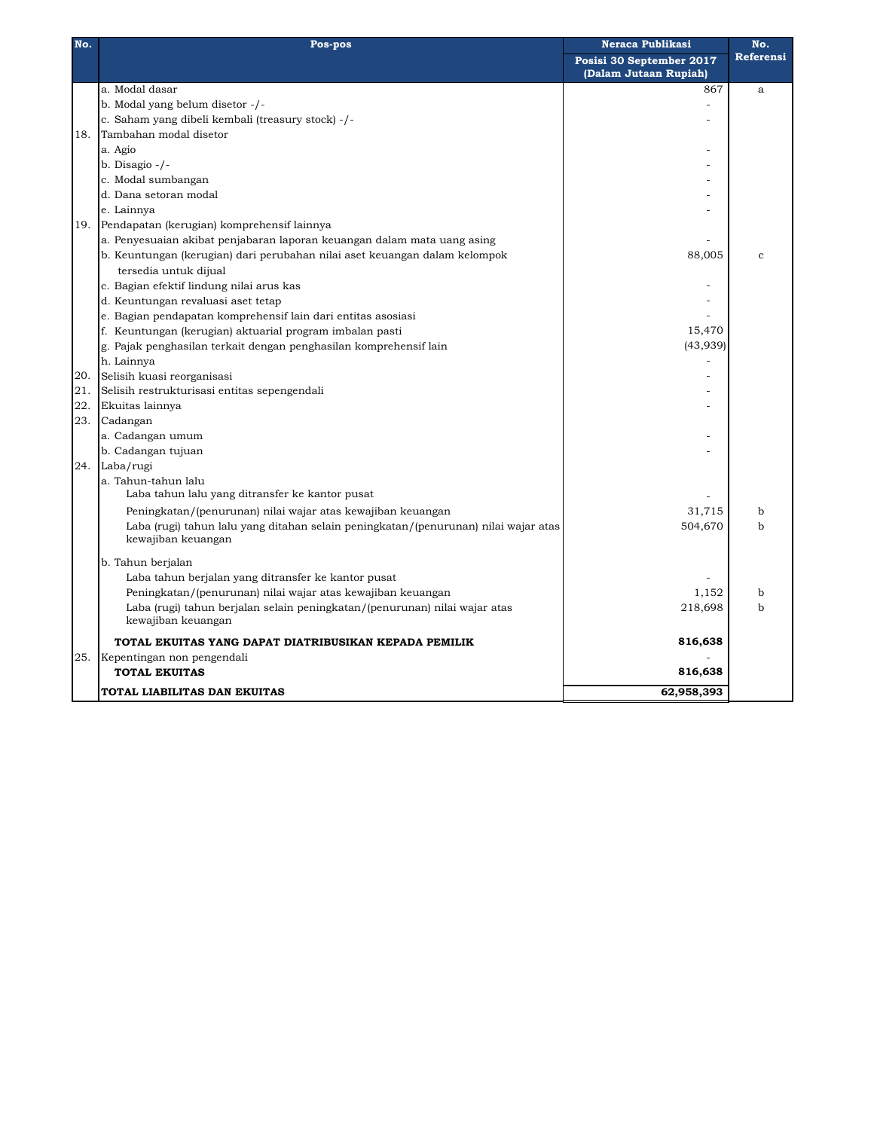| No. | Pos-pos                                                                             | <b>Neraca Publikasi</b>  | No.              |
|-----|-------------------------------------------------------------------------------------|--------------------------|------------------|
|     |                                                                                     | Posisi 30 September 2017 | <b>Referensi</b> |
|     |                                                                                     | (Dalam Jutaan Rupiah)    |                  |
|     | a. Modal dasar                                                                      | 867                      | a                |
|     | b. Modal yang belum disetor -/-                                                     |                          |                  |
|     | c. Saham yang dibeli kembali (treasury stock) -/-                                   |                          |                  |
| 18. | Tambahan modal disetor                                                              |                          |                  |
|     | a. Agio                                                                             |                          |                  |
|     | b. Disagio $-/-$                                                                    |                          |                  |
|     | c. Modal sumbangan                                                                  |                          |                  |
|     | d. Dana setoran modal                                                               |                          |                  |
|     | e. Lainnya                                                                          |                          |                  |
| 19. | Pendapatan (kerugian) komprehensif lainnya                                          |                          |                  |
|     | a. Penyesuaian akibat penjabaran laporan keuangan dalam mata uang asing             |                          |                  |
|     | b. Keuntungan (kerugian) dari perubahan nilai aset keuangan dalam kelompok          | 88,005                   | $\mathbf{C}$     |
|     | tersedia untuk dijual                                                               |                          |                  |
|     | c. Bagian efektif lindung nilai arus kas                                            |                          |                  |
|     | d. Keuntungan revaluasi aset tetap                                                  |                          |                  |
|     | e. Bagian pendapatan komprehensif lain dari entitas asosiasi                        |                          |                  |
|     | f. Keuntungan (kerugian) aktuarial program imbalan pasti                            | 15,470                   |                  |
|     | g. Pajak penghasilan terkait dengan penghasilan komprehensif lain                   | (43,939)                 |                  |
|     | h. Lainnya                                                                          |                          |                  |
| 20. | Selisih kuasi reorganisasi                                                          |                          |                  |
| 21. | Selisih restrukturisasi entitas sepengendali                                        |                          |                  |
| 22. | Ekuitas lainnya                                                                     |                          |                  |
| 23. | Cadangan                                                                            |                          |                  |
|     | a. Cadangan umum                                                                    |                          |                  |
|     | b. Cadangan tujuan                                                                  |                          |                  |
| 24. | Laba/rugi                                                                           |                          |                  |
|     | a. Tahun-tahun lalu                                                                 |                          |                  |
|     | Laba tahun lalu yang ditransfer ke kantor pusat                                     |                          |                  |
|     | Peningkatan/(penurunan) nilai wajar atas kewajiban keuangan                         | 31,715                   | b                |
|     | Laba (rugi) tahun lalu yang ditahan selain peningkatan/(penurunan) nilai wajar atas | 504,670                  | b                |
|     | kewajiban keuangan                                                                  |                          |                  |
|     |                                                                                     |                          |                  |
|     | b. Tahun berjalan                                                                   |                          |                  |
|     | Laba tahun berjalan yang ditransfer ke kantor pusat                                 |                          |                  |
|     | Peningkatan/(penurunan) nilai wajar atas kewajiban keuangan                         | 1,152                    | b                |
|     | Laba (rugi) tahun berjalan selain peningkatan/(penurunan) nilai wajar atas          | 218,698                  | b                |
|     | kewajiban keuangan                                                                  |                          |                  |
|     | TOTAL EKUITAS YANG DAPAT DIATRIBUSIKAN KEPADA PEMILIK                               | 816,638                  |                  |
| 25. | Kepentingan non pengendali                                                          |                          |                  |
|     | <b>TOTAL EKUITAS</b>                                                                | 816,638                  |                  |
|     | TOTAL LIABILITAS DAN EKUITAS                                                        | 62,958,393               |                  |